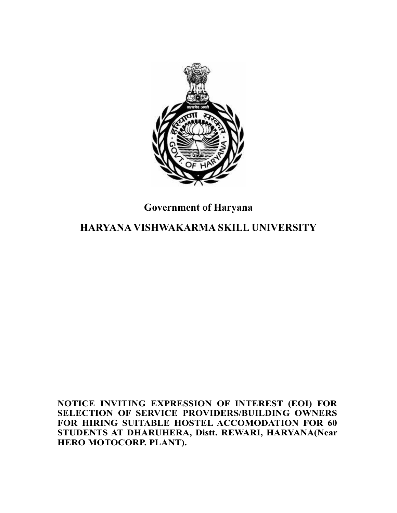

# **Government of Haryana**

# **HARYANA VISHWAKARMA SKILL UNIVERSITY**

**NOTICE INVITING EXPRESSION OF INTEREST (EOI) FOR SELECTION OF SERVICE PROVIDERS/BUILDING OWNERS FOR HIRING SUITABLE HOSTEL ACCOMODATION FOR 60 STUDENTS AT DHARUHERA, Distt. REWARI, HARYANA(Near HERO MOTOCORP. PLANT).**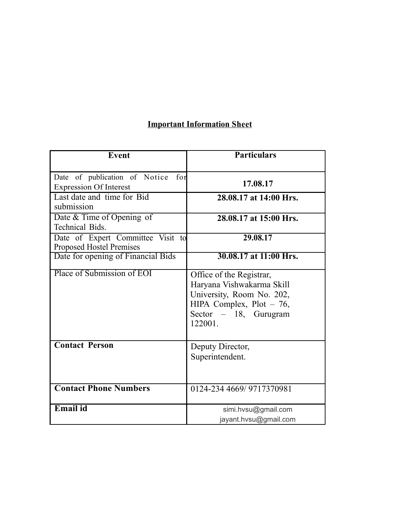# **Important Information Sheet**

| <b>Event</b>                                                          | <b>Particulars</b>                                                                                                                                     |
|-----------------------------------------------------------------------|--------------------------------------------------------------------------------------------------------------------------------------------------------|
| Date of publication of Notice<br>for<br><b>Expression Of Interest</b> | 17.08.17                                                                                                                                               |
| Last date and time for Bid<br>submission                              | 28.08.17 at 14:00 Hrs.                                                                                                                                 |
| Date & Time of Opening of<br><b>Technical Bids.</b>                   | 28.08.17 at 15:00 Hrs.                                                                                                                                 |
| Date of Expert Committee Visit to<br><b>Proposed Hostel Premises</b>  | 29.08.17                                                                                                                                               |
| Date for opening of Financial Bids                                    | 30.08.17 at 11:00 Hrs.                                                                                                                                 |
| Place of Submission of EOI                                            | Office of the Registrar,<br>Haryana Vishwakarma Skill<br>University, Room No. 202,<br>HIPA Complex, Plot $-76$ ,<br>Sector $-18$ , Gurugram<br>122001. |
| <b>Contact Person</b>                                                 | Deputy Director,<br>Superintendent.                                                                                                                    |
| <b>Contact Phone Numbers</b>                                          | 0124-234 4669/ 9717370981                                                                                                                              |
| Email id                                                              | simi.hvsu@gmail.com<br>jayant.hvsu@gmail.com                                                                                                           |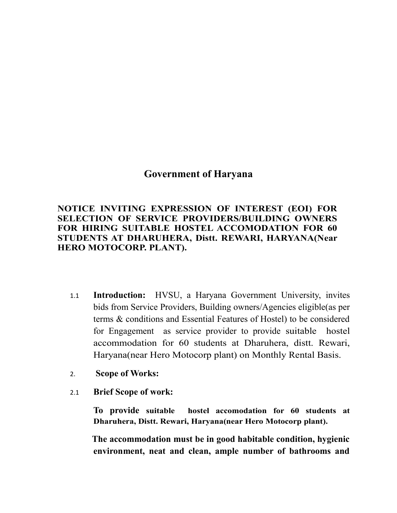# **Government of Haryana**

**NOTICE INVITING EXPRESSION OF INTEREST (EOI) FOR SELECTION OF SERVICE PROVIDERS/BUILDING OWNERS FOR HIRING SUITABLE HOSTEL ACCOMODATION FOR 60 STUDENTS AT DHARUHERA, Distt. REWARI, HARYANA(Near HERO MOTOCORP. PLANT).**

- 1.1 **Introduction:** HVSU, a Haryana Government University, invites bids from Service Providers, Building owners/Agencies eligible(as per terms & conditions and Essential Features of Hostel) to be considered for Engagement as service provider to provide suitable hostel accommodation for 60 students at Dharuhera, distt. Rewari, Haryana(near Hero Motocorp plant) on Monthly Rental Basis.
- 2. **Scope of Works:**
- 2.1 **Brief Scope of work:**

**To provide suitable hostel accomodation for 60 students at Dharuhera, Distt. Rewari, Haryana(near Hero Motocorp plant).**

 **The accommodation must be in good habitable condition, hygienic environment, neat and clean, ample number of bathrooms and**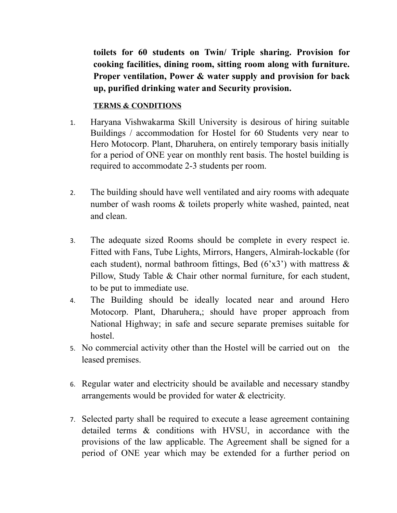**toilets for 60 students on Twin/ Triple sharing. Provision for cooking facilities, dining room, sitting room along with furniture. Proper ventilation, Power & water supply and provision for back up, purified drinking water and Security provision.**

# **TERMS & CONDITIONS**

- 1. Haryana Vishwakarma Skill University is desirous of hiring suitable Buildings / accommodation for Hostel for 60 Students very near to Hero Motocorp. Plant, Dharuhera, on entirely temporary basis initially for a period of ONE year on monthly rent basis. The hostel building is required to accommodate 2-3 students per room.
- 2. The building should have well ventilated and airy rooms with adequate number of wash rooms & toilets properly white washed, painted, neat and clean.
- 3. The adequate sized Rooms should be complete in every respect ie. Fitted with Fans, Tube Lights, Mirrors, Hangers, Almirah-lockable (for each student), normal bathroom fittings, Bed  $(6x3)$  with mattress  $\&$ Pillow, Study Table & Chair other normal furniture, for each student, to be put to immediate use.
- 4. The Building should be ideally located near and around Hero Motocorp. Plant, Dharuhera,; should have proper approach from National Highway; in safe and secure separate premises suitable for hostel.
- 5. No commercial activity other than the Hostel will be carried out on the leased premises.
- 6. Regular water and electricity should be available and necessary standby arrangements would be provided for water & electricity.
- 7. Selected party shall be required to execute a lease agreement containing detailed terms & conditions with HVSU, in accordance with the provisions of the law applicable. The Agreement shall be signed for a period of ONE year which may be extended for a further period on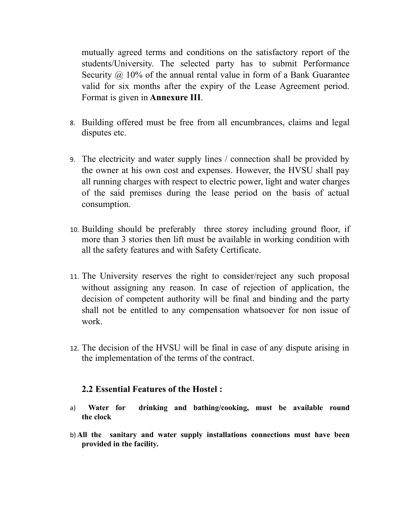mutually agreed terms and conditions on the satisfactory report of the students/University. The selected party has to submit Performance Security  $\omega$  10% of the annual rental value in form of a Bank Guarantee valid for six months after the expiry of the Lease Agreement period. Format is given in **Annexure III**.

- 8. Building offered must be free from all encumbrances, claims and legal disputes etc.
- 9. The electricity and water supply lines / connection shall be provided by the owner at his own cost and expenses. However, the HVSU shall pay all running charges with respect to electric power, light and water charges of the said premises during the lease period on the basis of actual consumption.
- 10. Building should be preferably three storey including ground floor, if more than 3 stories then lift must be available in working condition with all the safety features and with Safety Certificate.
- 11. The University reserves the right to consider/reject any such proposal without assigning any reason. In case of rejection of application, the decision of competent authority will be final and binding and the party shall not be entitled to any compensation whatsoever for non issue of work.
- 12. The decision of the HVSU will be final in case of any dispute arising in the implementation of the terms of the contract.

# **2.2 Essential Features of the Hostel :**

- a) **Water for drinking and bathing/cooking, must be available round the clock**
- b) **All the sanitary and water supply installations connections must have been provided in the facility.**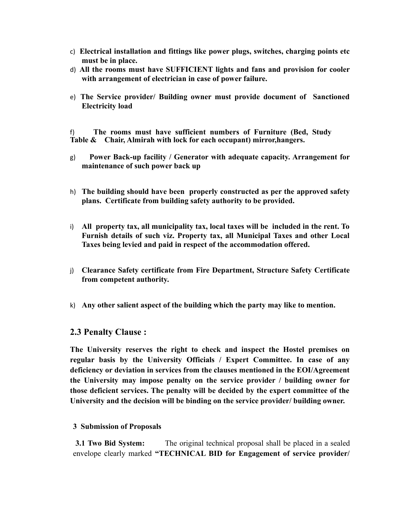- c) **Electrical installation and fittings like power plugs, switches, charging points etc must be in place.**
- d) **All the rooms must have SUFFICIENT lights and fans and provision for cooler with arrangement of electrician in case of power failure.**
- e) **The Service provider/ Building owner must provide document of Sanctioned Electricity load**

f) **The rooms must have sufficient numbers of Furniture (Bed, Study Table & Chair, Almirah with lock for each occupant) mirror,hangers.** 

- g) **Power Back-up facility / Generator with adequate capacity. Arrangement for maintenance of such power back up**
- h) **The building should have been properly constructed as per the approved safety plans. Certificate from building safety authority to be provided.**
- i) **All property tax, all municipality tax, local taxes will be included in the rent. To Furnish details of such viz. Property tax, all Municipal Taxes and other Local Taxes being levied and paid in respect of the accommodation offered.**
- j) **Clearance Safety certificate from Fire Department, Structure Safety Certificate from competent authority.**
- k) **Any other salient aspect of the building which the party may like to mention.**

#### **2.3 Penalty Clause :**

**The University reserves the right to check and inspect the Hostel premises on regular basis by the University Officials / Expert Committee. In case of any deficiency or deviation in services from the clauses mentioned in the EOI/Agreement the University may impose penalty on the service provider / building owner for those deficient services. The penalty will be decided by the expert committee of the University and the decision will be binding on the service provider/ building owner.**

#### **3 Submission of Proposals**

**3.1 Two Bid System:** The original technical proposal shall be placed in a sealed envelope clearly marked **"TECHNICAL BID for Engagement of service provider/**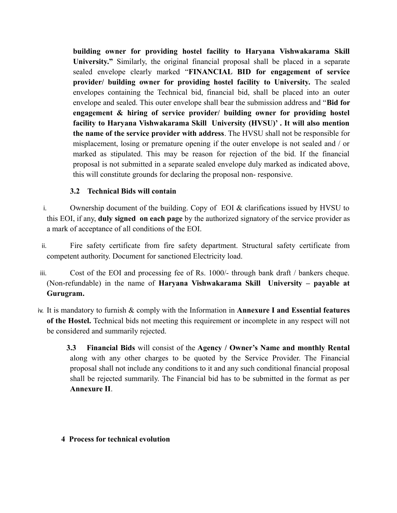**building owner for providing hostel facility to Haryana Vishwakarama Skill University."** Similarly, the original financial proposal shall be placed in a separate sealed envelope clearly marked "**FINANCIAL BID for engagement of service provider/ building owner for providing hostel facility to University.** The sealed envelopes containing the Technical bid, financial bid, shall be placed into an outer envelope and sealed. This outer envelope shall bear the submission address and "**Bid for engagement & hiring of service provider/ building owner for providing hostel facility to Haryana Vishwakarama Skill University (HVSU)' . It will also mention the name of the service provider with address**. The HVSU shall not be responsible for misplacement, losing or premature opening if the outer envelope is not sealed and / or marked as stipulated. This may be reason for rejection of the bid. If the financial proposal is not submitted in a separate sealed envelope duly marked as indicated above, this will constitute grounds for declaring the proposal non- responsive.

### **3.2 Technical Bids will contain**

- i. Ownership document of the building. Copy of EOI & clarifications issued by HVSU to this EOI, if any, **duly signed on each page** by the authorized signatory of the service provider as a mark of acceptance of all conditions of the EOI.
- ii. Fire safety certificate from fire safety department. Structural safety certificate from competent authority. Document for sanctioned Electricity load.
- iii. Cost of the EOI and processing fee of Rs. 1000/- through bank draft / bankers cheque. (Non-refundable) in the name of **Haryana Vishwakarama Skill University – payable at Gurugram.**
- iv. It is mandatory to furnish & comply with the Information in **Annexure I and Essential features of the Hostel.** Technical bids not meeting this requirement or incomplete in any respect will not be considered and summarily rejected.

 **3.3 Financial Bids** will consist of the **Agency / Owner's Name and monthly Rental** along with any other charges to be quoted by the Service Provider. The Financial proposal shall not include any conditions to it and any such conditional financial proposal shall be rejected summarily. The Financial bid has to be submitted in the format as per **Annexure II**.

#### **4 Process for technical evolution**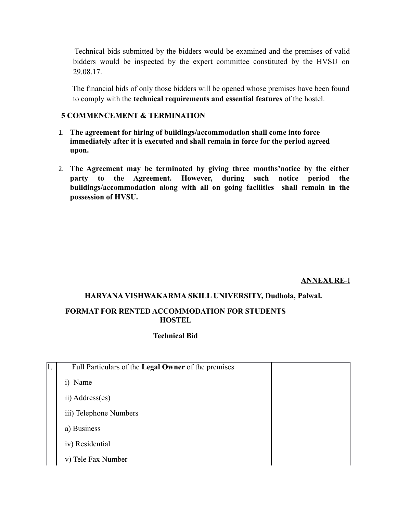Technical bids submitted by the bidders would be examined and the premises of valid bidders would be inspected by the expert committee constituted by the HVSU on 29.08.17.

 The financial bids of only those bidders will be opened whose premises have been found to comply with the **technical requirements and essential features** of the hostel.

#### **5 COMMENCEMENT & TERMINATION**

- 1. **The agreement for hiring of buildings/accommodation shall come into force immediately after it is executed and shall remain in force for the period agreed upon.**
- 2. **The Agreement may be terminated by giving three months'notice by the either party to the Agreement. However, during such notice period the buildings/accommodation along with all on going facilities shall remain in the possession of HVSU.**

#### **ANNEXURE**-I

#### **HARYANA VISHWAKARMA SKILL UNIVERSITY, Dudhola, Palwal.**

#### **FORMAT FOR RENTED ACCOMMODATION FOR STUDENTS HOSTEL**

#### **Technical Bid**

| $\vert$ 1. | Full Particulars of the Legal Owner of the premises |  |
|------------|-----------------------------------------------------|--|
|            | i) Name                                             |  |
|            | ii) Address(es)                                     |  |
|            | iii) Telephone Numbers                              |  |
|            | a) Business                                         |  |
|            | iv) Residential                                     |  |
|            | v) Tele Fax Number                                  |  |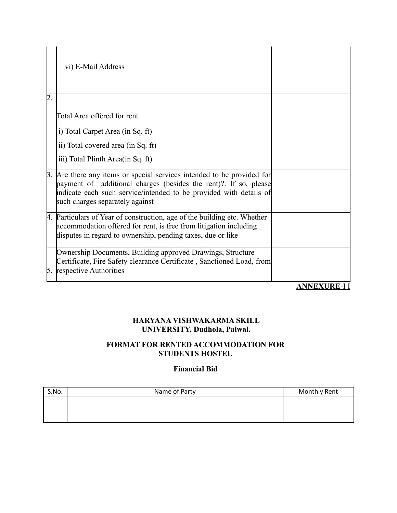|    | vi) E-Mail Address                                                                                                                                                                                                                                 |                     |
|----|----------------------------------------------------------------------------------------------------------------------------------------------------------------------------------------------------------------------------------------------------|---------------------|
| 2. |                                                                                                                                                                                                                                                    |                     |
|    | Total Area offered for rent                                                                                                                                                                                                                        |                     |
|    | i) Total Carpet Area (in Sq. ft)                                                                                                                                                                                                                   |                     |
|    | ii) Total covered area (in Sq. ft)                                                                                                                                                                                                                 |                     |
|    | iii) Total Plinth Area (in Sq. ft)                                                                                                                                                                                                                 |                     |
|    | 3. Are there any items or special services intended to be provided for<br>payment of additional charges (besides the rent)? If so, please<br>indicate each such service/intended to be provided with details of<br>such charges separately against |                     |
|    | 4. Particulars of Year of construction, age of the building etc. Whether<br>accommodation offered for rent, is free from litigation including<br>disputes in regard to ownership, pending taxes, due or like                                       |                     |
| 5. | Ownership Documents, Building approved Drawings, Structure<br>Certificate, Fire Safety clearance Certificate, Sanctioned Load, from<br>respective Authorities                                                                                      |                     |
|    |                                                                                                                                                                                                                                                    | <b>ANNEXURE-I I</b> |

# **HARYANA VISHWAKARMA SKILL UNIVERSITY, Dudhola, Palwal.**

### **FORMAT FOR RENTED ACCOMMODATION FOR STUDENTS HOSTEL**

#### **Financial Bid**

| S.No. | Name of Party | <b>Monthly Rent</b> |
|-------|---------------|---------------------|
|       |               |                     |
|       |               |                     |
|       |               |                     |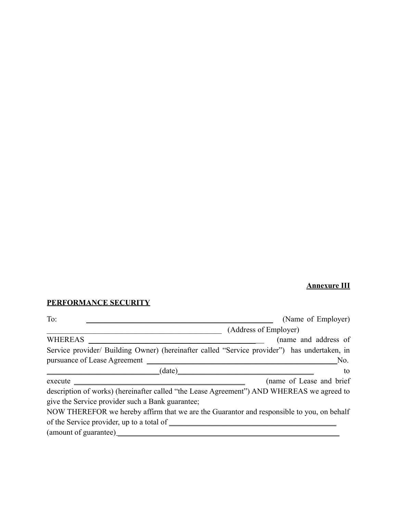## **Annexure III**

## **PERFORMANCE SECURITY**

| To:                                                                                                                                | (Name of Employer)       |  |  |  |
|------------------------------------------------------------------------------------------------------------------------------------|--------------------------|--|--|--|
|                                                                                                                                    | (Address of Employer)    |  |  |  |
| WHEREAS _<br><u> 1989 - Johann Harry Harry Harry Harry Harry Harry Harry Harry Harry Harry Harry Harry Harry Harry Harry Harry</u> | (name and address of     |  |  |  |
| Service provider/ Building Owner) (hereinafter called "Service provider") has undertaken, in                                       |                          |  |  |  |
|                                                                                                                                    | No.                      |  |  |  |
| (date)                                                                                                                             | to                       |  |  |  |
|                                                                                                                                    | (name of Lease and brief |  |  |  |
| description of works) (hereinafter called "the Lease Agreement") AND WHEREAS we agreed to                                          |                          |  |  |  |
| give the Service provider such a Bank guarantee;                                                                                   |                          |  |  |  |
| NOW THEREFOR we hereby affirm that we are the Guarantor and responsible to you, on behalf                                          |                          |  |  |  |
|                                                                                                                                    |                          |  |  |  |
|                                                                                                                                    |                          |  |  |  |